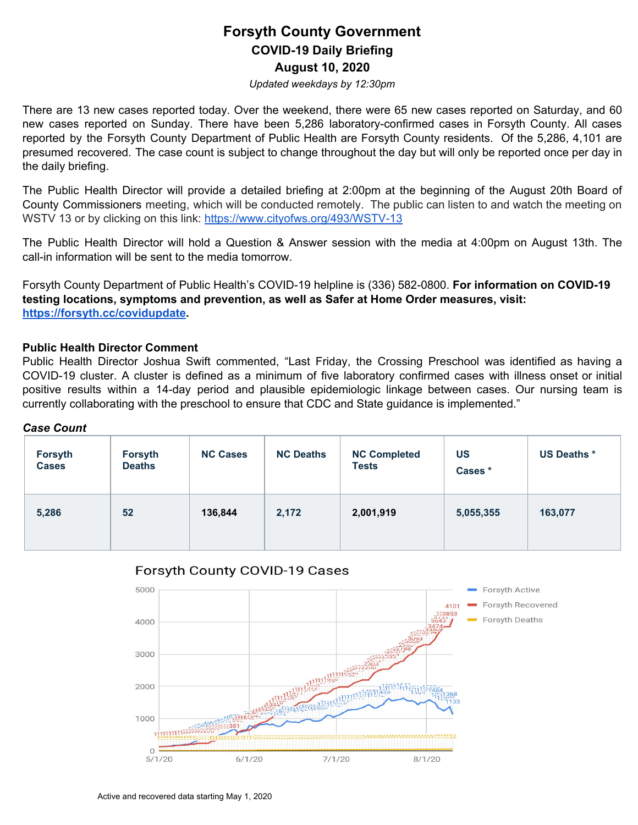## **Forsyth County Government COVID-19 Daily Briefing August 10, 2020**

*Updated weekdays by 12:30pm*

There are 13 new cases reported today. Over the weekend, there were 65 new cases reported on Saturday, and 60 new cases reported on Sunday. There have been 5,286 laboratory-confirmed cases in Forsyth County. All cases reported by the Forsyth County Department of Public Health are Forsyth County residents. Of the 5,286, 4,101 are presumed recovered. The case count is subject to change throughout the day but will only be reported once per day in the daily briefing.

The Public Health Director will provide a detailed briefing at 2:00pm at the beginning of the August 20th Board of County Commissioners meeting, which will be conducted remotely. The public can listen to and watch the meeting on WSTV 13 or by clicking on this link: <https://www.cityofws.org/493/WSTV-13>

The Public Health Director will hold a Question & Answer session with the media at 4:00pm on August 13th. The call-in information will be sent to the media tomorrow.

Forsyth County Department of Public Health's COVID-19 helpline is (336) 582-0800. **For information on COVID-19 testing locations, symptoms and prevention, as well as Safer at Home Order measures, visit: <https://forsyth.cc/covidupdate>.**

### **Public Health Director Comment**

Public Health Director Joshua Swift commented, "Last Friday, the Crossing Preschool was identified as having a COVID-19 cluster. A cluster is defined as a minimum of five laboratory confirmed cases with illness onset or initial positive results within a 14-day period and plausible epidemiologic linkage between cases. Our nursing team is currently collaborating with the preschool to ensure that CDC and State guidance is implemented."

#### *Case Count*

| Forsyth<br><b>Cases</b> | Forsyth<br><b>Deaths</b> | <b>NC Cases</b> | <b>NC Deaths</b> | <b>NC Completed</b><br><b>Tests</b> | <b>US</b><br>Cases * | <b>US Deaths *</b> |
|-------------------------|--------------------------|-----------------|------------------|-------------------------------------|----------------------|--------------------|
| 5,286                   | 52                       | 136,844         | 2,172            | 2,001,919                           | 5,055,355            | 163,077            |



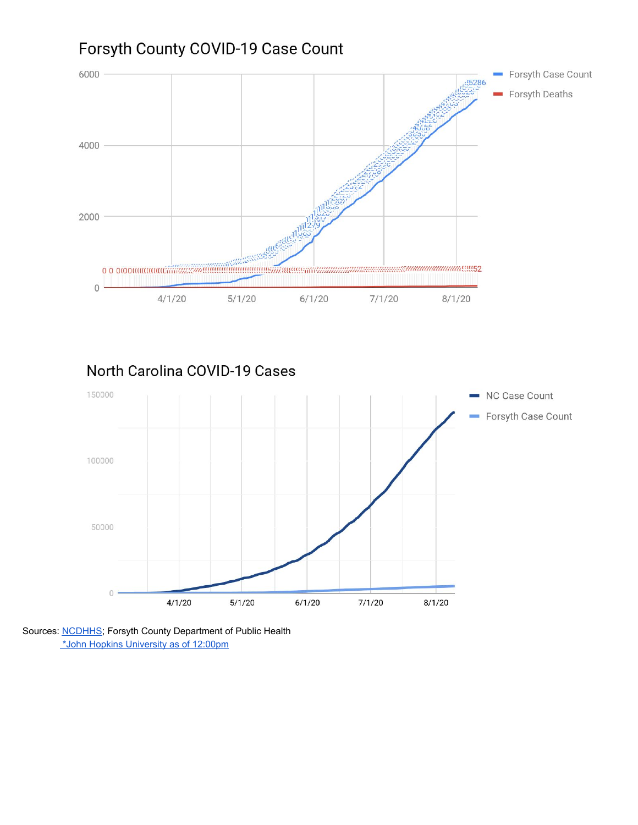# Forsyth County COVID-19 Case Count



North Carolina COVID-19 Cases